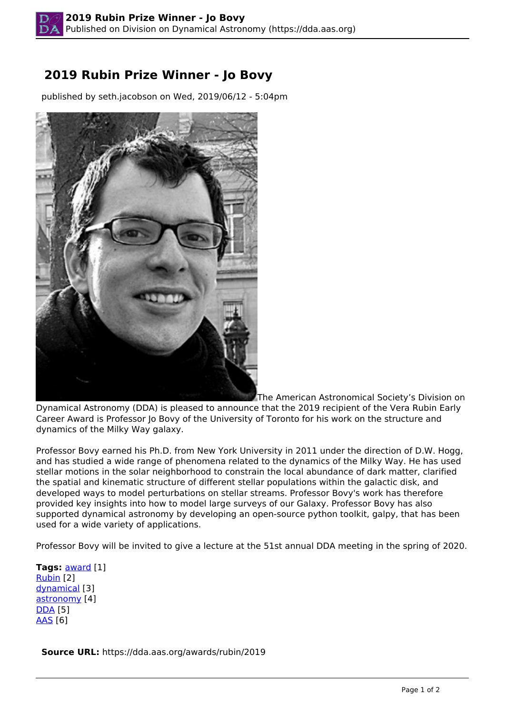## **2019 Rubin Prize Winner - Jo Bovy**

published by seth.jacobson on Wed, 2019/06/12 - 5:04pm



The American Astronomical Society's Division on

Dynamical Astronomy (DDA) is pleased to announce that the 2019 recipient of the Vera Rubin Early Career Award is Professor Io Bovy of the University of Toronto for his work on the structure and dynamics of the Milky Way galaxy.

Professor Bovy earned his Ph.D. from New York University in 2011 under the direction of D.W. Hogg, and has studied a wide range of phenomena related to the dynamics of the Milky Way. He has used stellar motions in the solar neighborhood to constrain the local abundance of dark matter, clarified the spatial and kinematic structure of different stellar populations within the galactic disk, and developed ways to model perturbations on stellar streams. Professor Bovy's work has therefore provided key insights into how to model large surveys of our Galaxy. Professor Bovy has also supported dynamical astronomy by developing an open-source python toolkit, galpy, that has been used for a wide variety of applications.

Professor Bovy will be invited to give a lecture at the 51st annual DDA meeting in the spring of 2020.

**Tags:** [award](https://dda.aas.org/taxonomy/term/6) [1] Rubin [2] dynamical [3] astronomy [4] DDA [5] AAS [6]

**Source URL:** https://dda.aas.org/awards/rubin/2019